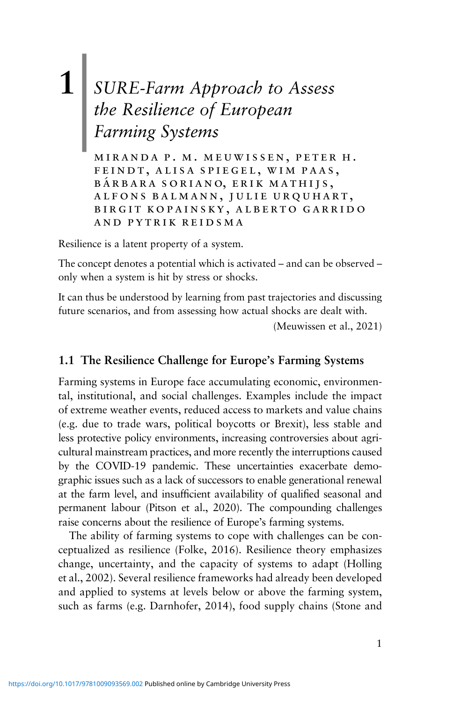# **1** *SURE-Farm Approach to Assess* | *the Resilience of European Farming Systems*

miranda p. m. meuwissen, peter h. feindt, alisa spiegel, wim paas, BÁRBARA SORIANO, ERIK MATHIJS, alfons balmann, julie urquhart, birgit kopainsky, alberto garrido and pytrik reidsma

Resilience is a latent property of a system.

The concept denotes a potential which is activated – and can be observed – only when a system is hit by stress or shocks.

It can thus be understood by learning from past trajectories and discussing future scenarios, and from assessing how actual shocks are dealt with.

(Meuwissen et al., 2021)

# **1.1 The Resilience Challenge for Europe's Farming Systems**

Farming systems in Europe face accumulating economic, environmental, institutional, and social challenges. Examples include the impact of extreme weather events, reduced access to markets and value chains (e.g. due to trade wars, political boycotts or Brexit), less stable and less protective policy environments, increasing controversies about agricultural mainstream practices, and more recently the interruptions caused by the COVID-19 pandemic. These uncertainties exacerbate demographic issues such as a lack of successors to enable generational renewal at the farm level, and insufficient availability of qualified seasonal and permanent labour (Pitson et al., 2020). The compounding challenges raise concerns about the resilience of Europe's farming systems.

The ability of farming systems to cope with challenges can be conceptualized as resilience (Folke, 2016). Resilience theory emphasizes change, uncertainty, and the capacity of systems to adapt (Holling et al., 2002). Several resilience frameworks had already been developed and applied to systems at levels below or above the farming system, such as farms (e.g. Darnhofer, 2014), food supply chains (Stone and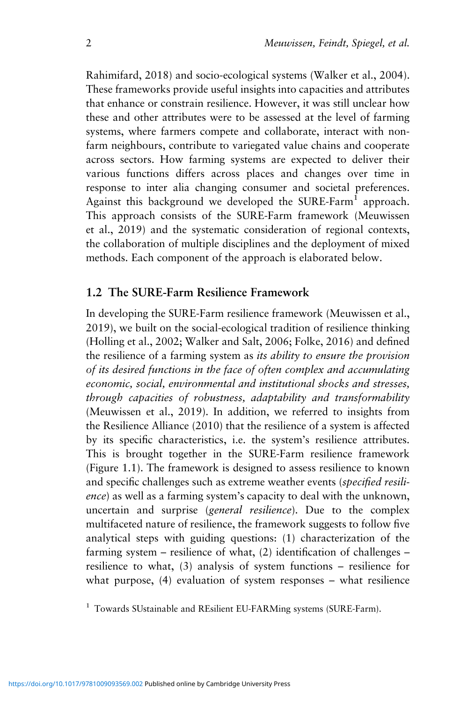Rahimifard, 2018) and socio-ecological systems (Walker et al., 2004). These frameworks provide useful insights into capacities and attributes that enhance or constrain resilience. However, it was still unclear how these and other attributes were to be assessed at the level of farming systems, where farmers compete and collaborate, interact with nonfarm neighbours, contribute to variegated value chains and cooperate across sectors. How farming systems are expected to deliver their various functions differs across places and changes over time in response to inter alia changing consumer and societal preferences. Against this background we developed the SURE-Farm<sup>1</sup> approach. This approach consists of the SURE-Farm framework (Meuwissen et al., 2019) and the systematic consideration of regional contexts, the collaboration of multiple disciplines and the deployment of mixed methods. Each component of the approach is elaborated below.

# **1.2 The SURE-Farm Resilience Framework**

In developing the SURE-Farm resilience framework (Meuwissen et al., 2019), we built on the social-ecological tradition of resilience thinking (Holling et al., 2002; Walker and Salt, 2006; Folke, 2016) and defined the resilience of a farming system as *its ability to ensure the provision of its desired functions in the face of often complex and accumulating economic, social, environmental and institutional shocks and stresses, through capacities of robustness, adaptability and transformability* (Meuwissen et al., 2019). In addition, we referred to insights from the Resilience Alliance (2010) that the resilience of a system is affected by its specific characteristics, i.e. the system's resilience attributes. This is brought together in the SURE-Farm resilience framework (Figure 1.1). The framework is designed to assess resilience to known and specific challenges such as extreme weather events (*specified resilience*) as well as a farming system's capacity to deal with the unknown, uncertain and surprise (*general resilience*). Due to the complex multifaceted nature of resilience, the framework suggests to follow five analytical steps with guiding questions: (1) characterization of the farming system – resilience of what, (2) identification of challenges – resilience to what, (3) analysis of system functions – resilience for what purpose, (4) evaluation of system responses – what resilience

<sup>&</sup>lt;sup>1</sup> Towards SUstainable and REsilient EU-FARMing systems (SURE-Farm).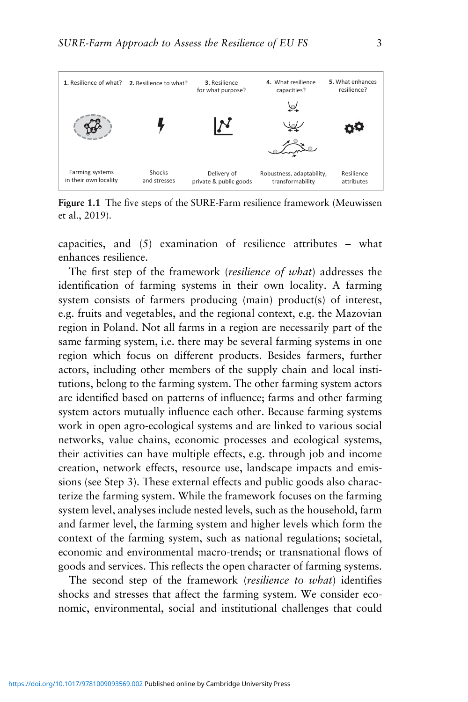

**Figure 1.1** The five steps of the SURE-Farm resilience framework (Meuwissen et al., 2019).

capacities, and (5) examination of resilience attributes – what enhances resilience.

The first step of the framework (*resilience of what*) addresses the identification of farming systems in their own locality. A farming system consists of farmers producing (main) product(s) of interest, e.g. fruits and vegetables, and the regional context, e.g. the Mazovian region in Poland. Not all farms in a region are necessarily part of the same farming system, i.e. there may be several farming systems in one region which focus on different products. Besides farmers, further actors, including other members of the supply chain and local institutions, belong to the farming system. The other farming system actors are identified based on patterns of influence; farms and other farming system actors mutually influence each other. Because farming systems work in open agro-ecological systems and are linked to various social networks, value chains, economic processes and ecological systems, their activities can have multiple effects, e.g. through job and income creation, network effects, resource use, landscape impacts and emissions (see Step 3). These external effects and public goods also characterize the farming system. While the framework focuses on the farming system level, analyses include nested levels, such as the household, farm and farmer level, the farming system and higher levels which form the context of the farming system, such as national regulations; societal, economic and environmental macro-trends; or transnational flows of goods and services. This reflects the open character of farming systems.

The second step of the framework (*resilience to what*) identifies shocks and stresses that affect the farming system. We consider economic, environmental, social and institutional challenges that could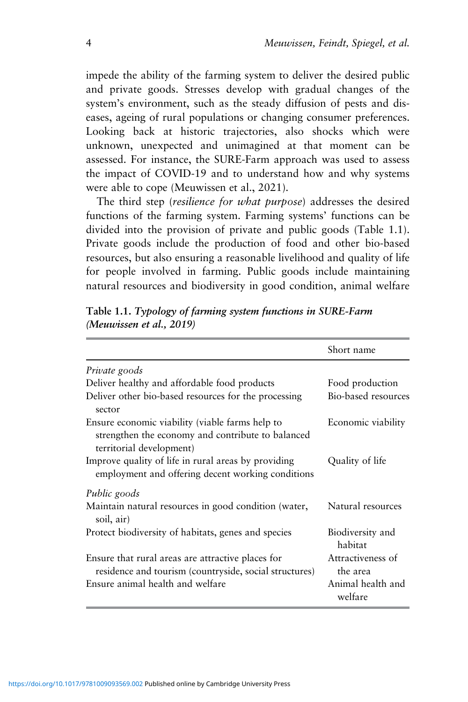impede the ability of the farming system to deliver the desired public and private goods. Stresses develop with gradual changes of the system's environment, such as the steady diffusion of pests and diseases, ageing of rural populations or changing consumer preferences. Looking back at historic trajectories, also shocks which were unknown, unexpected and unimagined at that moment can be assessed. For instance, the SURE-Farm approach was used to assess the impact of COVID-19 and to understand how and why systems were able to cope (Meuwissen et al., 2021).

The third step (*resilience for what purpose*) addresses the desired functions of the farming system. Farming systems' functions can be divided into the provision of private and public goods (Table 1.1). Private goods include the production of food and other bio-based resources, but also ensuring a reasonable livelihood and quality of life for people involved in farming. Public goods include maintaining natural resources and biodiversity in good condition, animal welfare

|                                                                                                                                  | Short name                    |  |
|----------------------------------------------------------------------------------------------------------------------------------|-------------------------------|--|
| Private goods                                                                                                                    |                               |  |
| Deliver healthy and affordable food products                                                                                     | Food production               |  |
| Deliver other bio-based resources for the processing<br>sector                                                                   | Bio-based resources           |  |
| Ensure economic viability (viable farms help to<br>strengthen the economy and contribute to balanced<br>territorial development) | Economic viability            |  |
| Improve quality of life in rural areas by providing<br>employment and offering decent working conditions                         | Quality of life               |  |
| Public goods                                                                                                                     |                               |  |
| Maintain natural resources in good condition (water,<br>soil, air)                                                               | Natural resources             |  |
| Protect biodiversity of habitats, genes and species                                                                              | Biodiversity and<br>habitat   |  |
| Ensure that rural areas are attractive places for<br>residence and tourism (countryside, social structures)                      | Attractiveness of<br>the area |  |
| Ensure animal health and welfare                                                                                                 | Animal health and<br>welfare  |  |

**Table 1.1.** *Typology of farming system functions in SURE-Farm (Meuwissen et al., 2019)*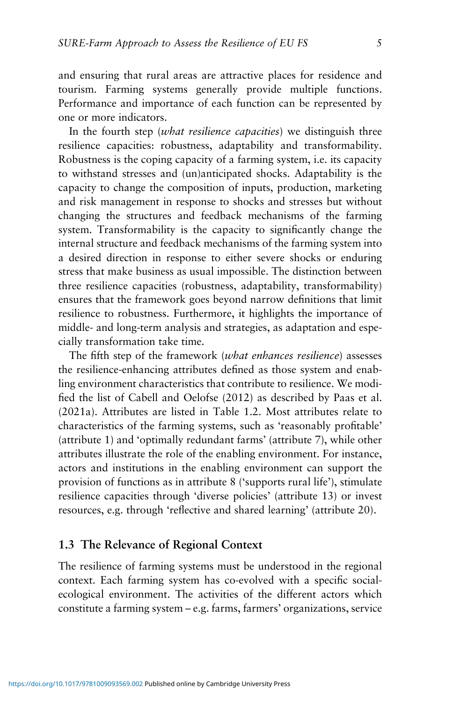and ensuring that rural areas are attractive places for residence and tourism. Farming systems generally provide multiple functions. Performance and importance of each function can be represented by one or more indicators.

In the fourth step (*what resilience capacities*) we distinguish three resilience capacities: robustness, adaptability and transformability. Robustness is the coping capacity of a farming system, i.e. its capacity to withstand stresses and (un)anticipated shocks. Adaptability is the capacity to change the composition of inputs, production, marketing and risk management in response to shocks and stresses but without changing the structures and feedback mechanisms of the farming system. Transformability is the capacity to significantly change the internal structure and feedback mechanisms of the farming system into a desired direction in response to either severe shocks or enduring stress that make business as usual impossible. The distinction between three resilience capacities (robustness, adaptability, transformability) ensures that the framework goes beyond narrow definitions that limit resilience to robustness. Furthermore, it highlights the importance of middle- and long-term analysis and strategies, as adaptation and especially transformation take time.

The fifth step of the framework (*what enhances resilience*) assesses the resilience-enhancing attributes defined as those system and enabling environment characteristics that contribute to resilience. We modified the list of Cabell and Oelofse (2012) as described by Paas et al. (2021a). Attributes are listed in Table 1.2. Most attributes relate to characteristics of the farming systems, such as 'reasonably profitable' (attribute 1) and 'optimally redundant farms' (attribute 7), while other attributes illustrate the role of the enabling environment. For instance, actors and institutions in the enabling environment can support the provision of functions as in attribute 8 ('supports rural life'), stimulate resilience capacities through 'diverse policies' (attribute 13) or invest resources, e.g. through 'reflective and shared learning' (attribute 20).

# **1.3 The Relevance of Regional Context**

The resilience of farming systems must be understood in the regional context. Each farming system has co-evolved with a specific socialecological environment. The activities of the different actors which constitute a farming system – e.g. farms, farmers' organizations, service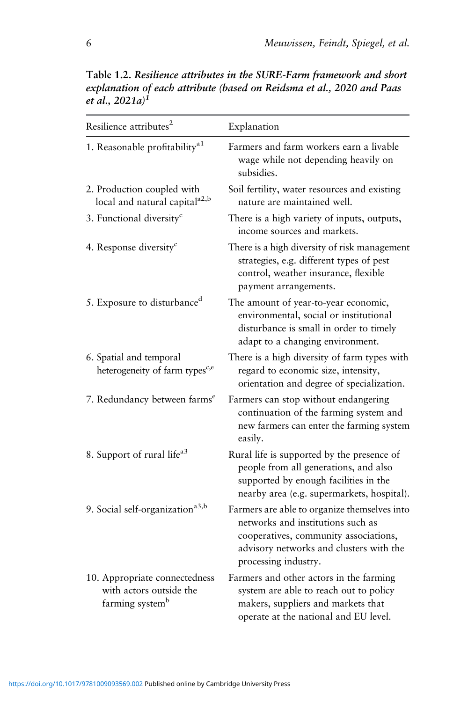| Resilience attributes <sup>2</sup>                                                      | Explanation                                                                                                                                                                                   |
|-----------------------------------------------------------------------------------------|-----------------------------------------------------------------------------------------------------------------------------------------------------------------------------------------------|
| 1. Reasonable profitability <sup>a1</sup>                                               | Farmers and farm workers earn a livable<br>wage while not depending heavily on<br>subsidies.                                                                                                  |
| 2. Production coupled with<br>local and natural capital <sup>a2,b</sup>                 | Soil fertility, water resources and existing<br>nature are maintained well.                                                                                                                   |
| 3. Functional diversity <sup>c</sup>                                                    | There is a high variety of inputs, outputs,<br>income sources and markets.                                                                                                                    |
| 4. Response diversity <sup>c</sup>                                                      | There is a high diversity of risk management<br>strategies, e.g. different types of pest<br>control, weather insurance, flexible<br>payment arrangements.                                     |
| 5. Exposure to disturbance <sup>d</sup>                                                 | The amount of year-to-year economic,<br>environmental, social or institutional<br>disturbance is small in order to timely<br>adapt to a changing environment.                                 |
| 6. Spatial and temporal<br>heterogeneity of farm types <sup>c,e</sup>                   | There is a high diversity of farm types with<br>regard to economic size, intensity,<br>orientation and degree of specialization.                                                              |
| 7. Redundancy between farms <sup>e</sup>                                                | Farmers can stop without endangering<br>continuation of the farming system and<br>new farmers can enter the farming system<br>easily.                                                         |
| 8. Support of rural life <sup>a3</sup>                                                  | Rural life is supported by the presence of<br>people from all generations, and also<br>supported by enough facilities in the<br>nearby area (e.g. supermarkets, hospital).                    |
| 9. Social self-organization <sup>a3,b</sup>                                             | Farmers are able to organize themselves into<br>networks and institutions such as<br>cooperatives, community associations,<br>advisory networks and clusters with the<br>processing industry. |
| 10. Appropriate connectedness<br>with actors outside the<br>farming system <sup>b</sup> | Farmers and other actors in the farming<br>system are able to reach out to policy<br>makers, suppliers and markets that<br>operate at the national and EU level.                              |

**Table 1.2.** *Resilience attributes in the SURE-Farm framework and short explanation of each attribute (based on Reidsma et al., 2020 and Paas et al., 2021a) 1*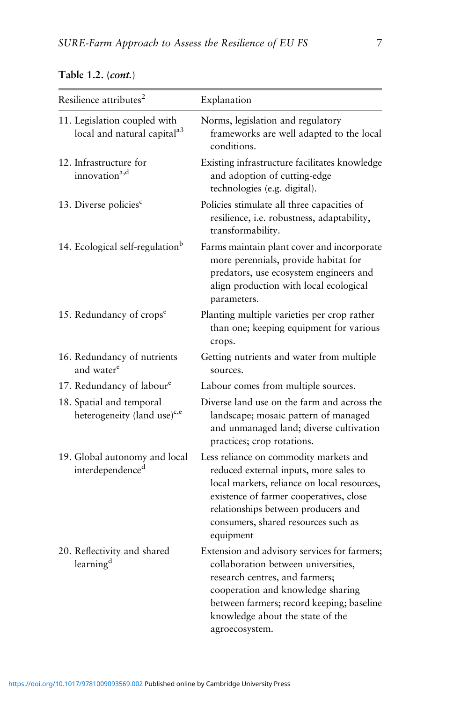| Resilience attributes <sup>2</sup>                                      | Explanation                                                                                                                                                                                                                                                           |
|-------------------------------------------------------------------------|-----------------------------------------------------------------------------------------------------------------------------------------------------------------------------------------------------------------------------------------------------------------------|
| 11. Legislation coupled with<br>local and natural capital <sup>a3</sup> | Norms, legislation and regulatory<br>frameworks are well adapted to the local<br>conditions.                                                                                                                                                                          |
| 12. Infrastructure for<br>innovation <sup>a,d</sup>                     | Existing infrastructure facilitates knowledge<br>and adoption of cutting-edge<br>technologies (e.g. digital).                                                                                                                                                         |
| 13. Diverse policies <sup>c</sup>                                       | Policies stimulate all three capacities of<br>resilience, i.e. robustness, adaptability,<br>transformability.                                                                                                                                                         |
| 14. Ecological self-regulation <sup>b</sup>                             | Farms maintain plant cover and incorporate<br>more perennials, provide habitat for<br>predators, use ecosystem engineers and<br>align production with local ecological<br>parameters.                                                                                 |
| 15. Redundancy of crops <sup>e</sup>                                    | Planting multiple varieties per crop rather<br>than one; keeping equipment for various<br>crops.                                                                                                                                                                      |
| 16. Redundancy of nutrients<br>and water <sup>e</sup>                   | Getting nutrients and water from multiple<br>sources.                                                                                                                                                                                                                 |
| 17. Redundancy of labour <sup>e</sup>                                   | Labour comes from multiple sources.                                                                                                                                                                                                                                   |
| 18. Spatial and temporal<br>heterogeneity (land use) <sup>c,e</sup>     | Diverse land use on the farm and across the<br>landscape; mosaic pattern of managed<br>and unmanaged land; diverse cultivation<br>practices; crop rotations.                                                                                                          |
| 19. Global autonomy and local<br>interdependenced                       | Less reliance on commodity markets and<br>reduced external inputs, more sales to<br>local markets, reliance on local resources,<br>existence of farmer cooperatives, close<br>relationships between producers and<br>consumers, shared resources such as<br>equipment |
| 20. Reflectivity and shared<br>learning <sup>d</sup>                    | Extension and advisory services for farmers;<br>collaboration between universities,<br>research centres, and farmers;<br>cooperation and knowledge sharing<br>between farmers; record keeping; baseline<br>knowledge about the state of the                           |

agroecosystem.

# **Table 1.2. (***cont.*)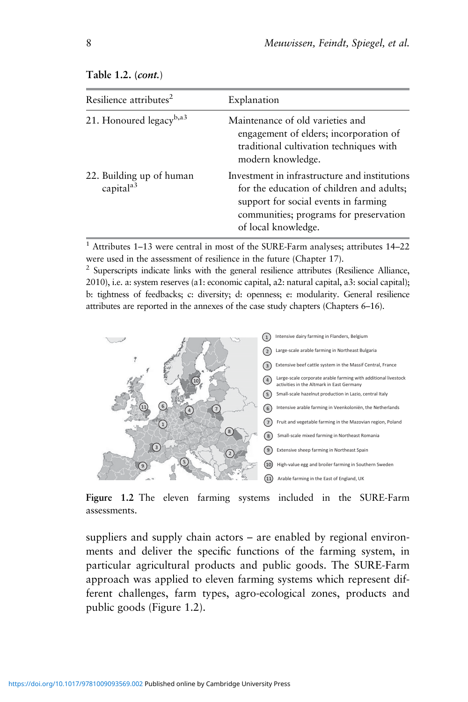| Resilience attributes <sup>2</sup>                | Explanation                                                                                                                                                                                         |
|---------------------------------------------------|-----------------------------------------------------------------------------------------------------------------------------------------------------------------------------------------------------|
| 21. Honoured legacy <sup>b,a3</sup>               | Maintenance of old varieties and<br>engagement of elders; incorporation of<br>traditional cultivation techniques with<br>modern knowledge.                                                          |
| 22. Building up of human<br>capital <sup>a3</sup> | Investment in infrastructure and institutions<br>for the education of children and adults;<br>support for social events in farming<br>communities; programs for preservation<br>of local knowledge. |

#### **Table 1.2. (***cont.*)

<sup>1</sup> Attributes 1–13 were central in most of the SURE-Farm analyses; attributes 14–22 were used in the assessment of resilience in the future (Chapter 17).

 $2$  Superscripts indicate links with the general resilience attributes (Resilience Alliance, 2010), i.e. a: system reserves (a1: economic capital, a2: natural capital, a3: social capital); b: tightness of feedbacks; c: diversity; d: openness; e: modularity. General resilience attributes are reported in the annexes of the case study chapters (Chapters 6–16).



**Figure 1.2** The eleven farming systems included in the SURE-Farm assessments.

suppliers and supply chain actors – are enabled by regional environments and deliver the specific functions of the farming system, in particular agricultural products and public goods. The SURE-Farm approach was applied to eleven farming systems which represent different challenges, farm types, agro-ecological zones, products and public goods (Figure 1.2).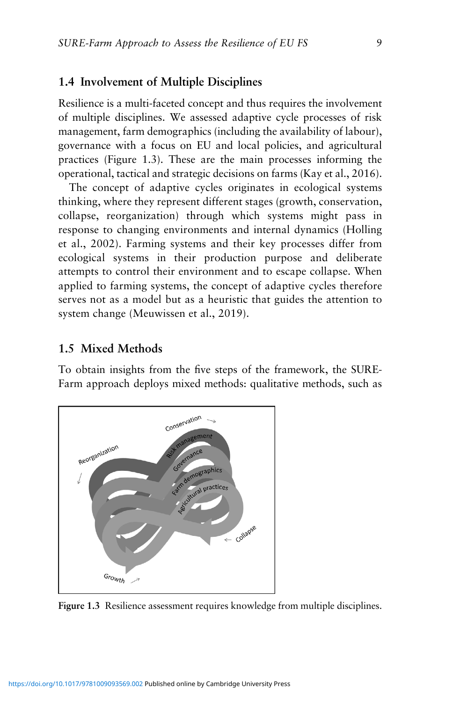## **1.4 Involvement of Multiple Disciplines**

Resilience is a multi-faceted concept and thus requires the involvement of multiple disciplines. We assessed adaptive cycle processes of risk management, farm demographics (including the availability of labour), governance with a focus on EU and local policies, and agricultural practices (Figure 1.3). These are the main processes informing the operational, tactical and strategic decisions on farms (Kay et al., 2016).

The concept of adaptive cycles originates in ecological systems thinking, where they represent different stages (growth, conservation, collapse, reorganization) through which systems might pass in response to changing environments and internal dynamics (Holling et al., 2002). Farming systems and their key processes differ from ecological systems in their production purpose and deliberate attempts to control their environment and to escape collapse. When applied to farming systems, the concept of adaptive cycles therefore serves not as a model but as a heuristic that guides the attention to system change (Meuwissen et al., 2019).

# **1.5 Mixed Methods**

To obtain insights from the five steps of the framework, the SURE-Farm approach deploys mixed methods: qualitative methods, such as



**Figure 1.3** Resilience assessment requires knowledge from multiple disciplines.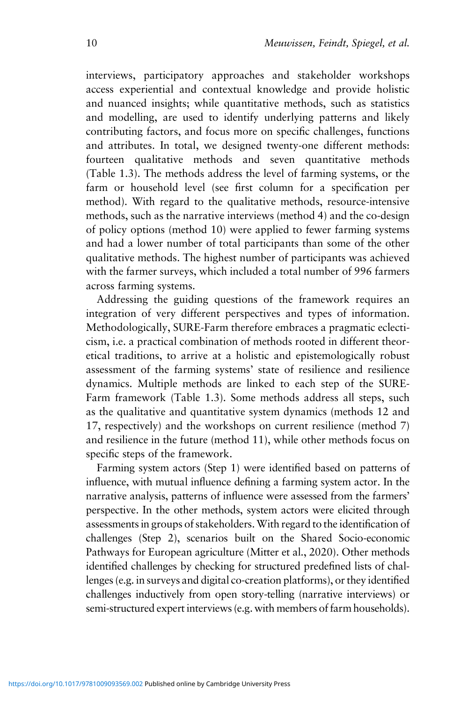interviews, participatory approaches and stakeholder workshops access experiential and contextual knowledge and provide holistic and nuanced insights; while quantitative methods, such as statistics and modelling, are used to identify underlying patterns and likely contributing factors, and focus more on specific challenges, functions and attributes. In total, we designed twenty-one different methods: fourteen qualitative methods and seven quantitative methods (Table 1.3). The methods address the level of farming systems, or the farm or household level (see first column for a specification per method). With regard to the qualitative methods, resource-intensive methods, such as the narrative interviews (method 4) and the co-design of policy options (method 10) were applied to fewer farming systems and had a lower number of total participants than some of the other qualitative methods. The highest number of participants was achieved with the farmer surveys, which included a total number of 996 farmers across farming systems.

Addressing the guiding questions of the framework requires an integration of very different perspectives and types of information. Methodologically, SURE-Farm therefore embraces a pragmatic eclecticism, i.e. a practical combination of methods rooted in different theoretical traditions, to arrive at a holistic and epistemologically robust assessment of the farming systems' state of resilience and resilience dynamics. Multiple methods are linked to each step of the SURE-Farm framework (Table 1.3). Some methods address all steps, such as the qualitative and quantitative system dynamics (methods 12 and 17, respectively) and the workshops on current resilience (method 7) and resilience in the future (method 11), while other methods focus on specific steps of the framework.

Farming system actors (Step 1) were identified based on patterns of influence, with mutual influence defining a farming system actor. In the narrative analysis, patterns of influence were assessed from the farmers' perspective. In the other methods, system actors were elicited through assessments in groups of stakeholders.With regard to the identification of challenges (Step 2), scenarios built on the Shared Socio-economic Pathways for European agriculture (Mitter et al., 2020). Other methods identified challenges by checking for structured predefined lists of challenges (e.g. in surveys and digital co-creation platforms), or they identified challenges inductively from open story-telling (narrative interviews) or semi-structured expert interviews (e.g. with members of farm households).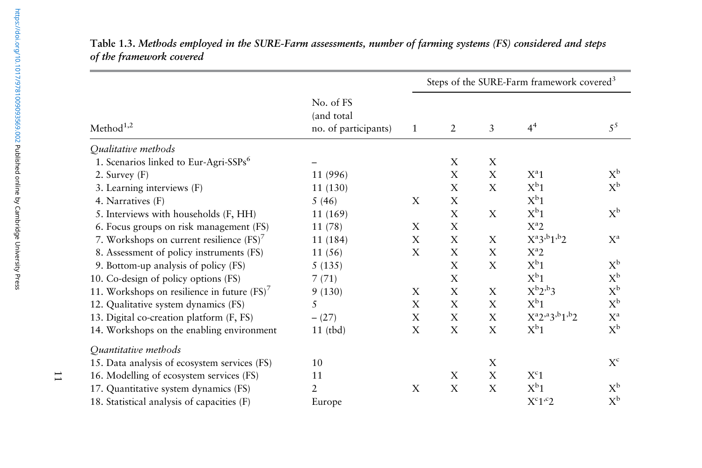|                                                   |                                                 | Steps of the SURE-Farm framework covered <sup>3</sup> |                |                |                              |                         |  |
|---------------------------------------------------|-------------------------------------------------|-------------------------------------------------------|----------------|----------------|------------------------------|-------------------------|--|
| Method <sup>1,2</sup>                             | No. of FS<br>(and total<br>no. of participants) | 1                                                     | $\overline{2}$ | $\mathfrak{Z}$ | 4 <sup>4</sup>               | $5^5$                   |  |
| Qualitative methods                               |                                                 |                                                       |                |                |                              |                         |  |
| 1. Scenarios linked to Eur-Agri-SSPs <sup>6</sup> |                                                 |                                                       | X              | X              |                              |                         |  |
| 2. Survey $(F)$                                   | 11 (996)                                        |                                                       | X              | X              | $X^a1$                       | $X^b$                   |  |
| 3. Learning interviews (F)                        | 11 (130)                                        |                                                       | X              | X              | $X^b1$                       | $X^b$                   |  |
| 4. Narratives (F)                                 | 5(46)                                           | X                                                     | X              |                | $X^b1$                       |                         |  |
| 5. Interviews with households (F, HH)             | 11 (169)                                        |                                                       | X              | X              | $X^b1$                       | $X^b$                   |  |
| 6. Focus groups on risk management (FS)           | 11(78)                                          | X                                                     | X              |                | $X^a2$                       |                         |  |
| 7. Workshops on current resilience $(FS)^7$       | 11 (184)                                        | X                                                     | X              | X              | $X^a3,b1,b2$                 | $X^a$                   |  |
| 8. Assessment of policy instruments (FS)          | 11(56)                                          | X                                                     | X              | X              | $X^a2$                       |                         |  |
| 9. Bottom-up analysis of policy (FS)              | 5(135)                                          |                                                       | X              | X              | $X^b1$                       | $X^b$                   |  |
| 10. Co-design of policy options (FS)              | 7(71)                                           |                                                       | $\mathbf X$    |                | $X^b1$                       | $\mathbf{X}^{\text{b}}$ |  |
| 11. Workshops on resilience in future $(FS)^7$    | 9(130)                                          | X                                                     | X              | X              | $X^b2^b3$                    | $X^b$                   |  |
| 12. Qualitative system dynamics (FS)              | 5                                               | X                                                     | $\mathbf X$    | $\mathbf X$    | $X^b1$                       | $X^b$                   |  |
| 13. Digital co-creation platform (F, FS)          | $- (27)$                                        | X                                                     | X              | X              | $X^a 2^{,a} 3^{,b} 1^{,b} 2$ | $\mathbf{X}^\text{a}$   |  |
| 14. Workshops on the enabling environment         | $11$ (tbd)                                      | X                                                     | X              | X              | $X^b1$                       | $X^{\rm b}$             |  |
| Quantitative methods                              |                                                 |                                                       |                |                |                              |                         |  |
| 15. Data analysis of ecosystem services (FS)      | 10                                              |                                                       |                | X              |                              | $\mathbf{X}^\mathrm{c}$ |  |
| 16. Modelling of ecosystem services (FS)          | 11                                              |                                                       | X              | X              | $X^{c}1$                     |                         |  |
| 17. Quantitative system dynamics (FS)             | $\overline{2}$                                  | X                                                     | $\mathbf X$    | $\mathbf X$    | $X^b1$                       | $X^b$                   |  |
| 18. Statistical analysis of capacities (F)        | Europe                                          |                                                       |                |                | $X^c1^c2$                    | $X^b$                   |  |

Table 1.3. Methods employed in the SURE-Farm assessments, number of farming systems (FS) considered and steps *of the framework covered*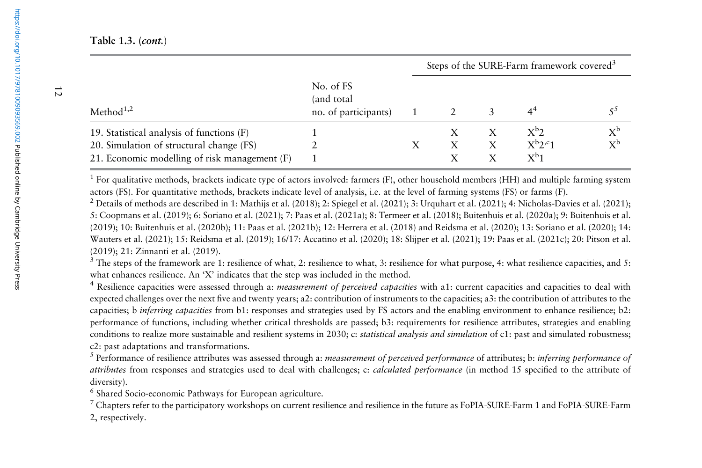**Table 1.3. (***cont.*)

| Method $1,2$                                                                          |                                                  | Steps of the SURE-Farm framework covered <sup>3</sup> |  |   |                                             |                      |
|---------------------------------------------------------------------------------------|--------------------------------------------------|-------------------------------------------------------|--|---|---------------------------------------------|----------------------|
|                                                                                       | No. of FS<br>(and total)<br>no. of participants) |                                                       |  |   |                                             |                      |
| 19. Statistical analysis of functions (F)<br>20. Simulation of structural change (FS) |                                                  |                                                       |  | X | X <sup>b</sup> 2<br>$X^{b}2^{c}1$<br>$X^b1$ | $X^b$<br>$X^{\rm b}$ |
| 21. Economic modelling of risk management (F)                                         |                                                  |                                                       |  |   |                                             |                      |

<sup>1</sup> For qualitative methods, brackets indicate type of actors involved: farmers (F), other household members (HH) and multiple farming system actors (FS). For quantitative methods, brackets indicate level of analysis, i.e. at the level of farming systems (FS) or farms (F).

<sup>2</sup> Details of methods are described in 1: Mathijs et al. (2018); 2: Spiegel et al. (2021); 3: Urquhart et al. (2021); 4: Nicholas-Davies et al. (2021); 5: Coopmans et al. (2019); 6: Soriano et al. (2021); 7: Paas et al. (2021a); 8: Termeer et al. (2018); Buitenhuis et al. (2020a); 9: Buitenhuis et al. (2019); 10: Buitenhuis et al. (2020b); 11: Paas et al. (2021b); 12: Herrera et al. (2018) and Reidsma et al. (2020); 13: Soriano et al. (2020); 14: Wauters et al. (2021); 15: Reidsma et al. (2019); 16/17: Accatino et al. (2020); 18: Slijper et al. (2021); 19: Paas et al. (2021c); 20: Pitson et al. (2019); 21: Zinnanti et al. (2019).

 $3$  The steps of the framework are 1: resilience of what, 2: resilience to what, 3: resilience for what purpose, 4: what resilience capacities, and 5: what enhances resilience. An 'X' indicates that the step was included in the method.

4 Resilience capacities were assessed through a: *measurement of perceived capacities* with a1: current capacities and capacities to deal with expected challenges over the next five and twenty years; a2: contribution of instruments to the capacities; a3: the contribution of attributes to the capacities; b *inferring capacities* from b1: responses and strategies used by FS actors and the enabling environment to enhance resilience; b2: performance of functions, including whether critical thresholds are passed; b3: requirements for resilience attributes, strategies and enabling conditions to realize more sustainable and resilient systems in 2030; c: *statistical analysis and simulation* of c1: pas<sup>t</sup> and simulated robustness; c2: pas<sup>t</sup> adaptations and transformations.

<sup>5</sup> Performance of resilience attributes was assessed through a: *measurement of perceived performance* of attributes; b: *inferring performance of attributes* from responses and strategies used to deal with challenges; c: *calculated performance* (in method 15 specified to the attribute of diversity).

6 Shared Socio-economic Pathways for European agriculture.

 $^7$  Chapters refer to the participatory workshops on current resilience and resilience in the future as FoPIA-SURE-Farm 1 and FoPIA-SURE-Farm 2, respectively.

12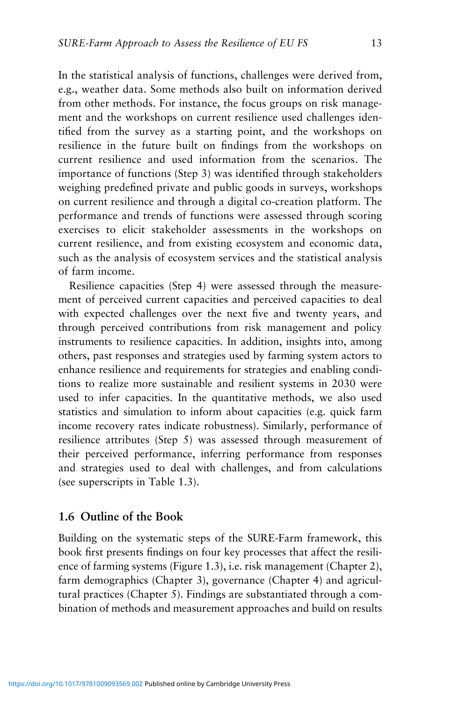In the statistical analysis of functions, challenges were derived from, e.g., weather data. Some methods also built on information derived from other methods. For instance, the focus groups on risk management and the workshops on current resilience used challenges identified from the survey as a starting point, and the workshops on resilience in the future built on findings from the workshops on current resilience and used information from the scenarios. The importance of functions (Step 3) was identified through stakeholders weighing predefined private and public goods in surveys, workshops on current resilience and through a digital co-creation platform. The performance and trends of functions were assessed through scoring exercises to elicit stakeholder assessments in the workshops on current resilience, and from existing ecosystem and economic data,

of farm income. Resilience capacities (Step 4) were assessed through the measurement of perceived current capacities and perceived capacities to deal with expected challenges over the next five and twenty years, and through perceived contributions from risk management and policy instruments to resilience capacities. In addition, insights into, among others, past responses and strategies used by farming system actors to enhance resilience and requirements for strategies and enabling conditions to realize more sustainable and resilient systems in 2030 were used to infer capacities. In the quantitative methods, we also used statistics and simulation to inform about capacities (e.g. quick farm income recovery rates indicate robustness). Similarly, performance of resilience attributes (Step 5) was assessed through measurement of their perceived performance, inferring performance from responses and strategies used to deal with challenges, and from calculations (see superscripts in Table 1.3).

such as the analysis of ecosystem services and the statistical analysis

# **1.6 Outline of the Book**

Building on the systematic steps of the SURE-Farm framework, this book first presents findings on four key processes that affect the resilience of farming systems (Figure 1.3), i.e. risk management (Chapter 2), farm demographics (Chapter 3), governance (Chapter 4) and agricultural practices (Chapter 5). Findings are substantiated through a combination of methods and measurement approaches and build on results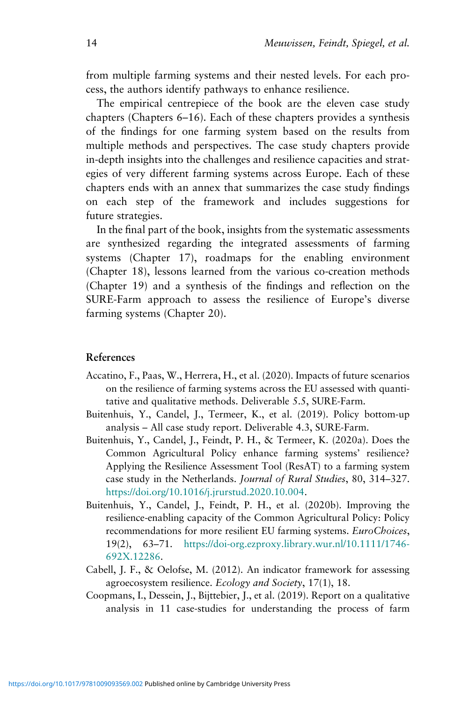from multiple farming systems and their nested levels. For each process, the authors identify pathways to enhance resilience.

The empirical centrepiece of the book are the eleven case study chapters (Chapters 6–16). Each of these chapters provides a synthesis of the findings for one farming system based on the results from multiple methods and perspectives. The case study chapters provide in-depth insights into the challenges and resilience capacities and strategies of very different farming systems across Europe. Each of these chapters ends with an annex that summarizes the case study findings on each step of the framework and includes suggestions for future strategies.

In the final part of the book, insights from the systematic assessments are synthesized regarding the integrated assessments of farming systems (Chapter 17), roadmaps for the enabling environment (Chapter 18), lessons learned from the various co-creation methods (Chapter 19) and a synthesis of the findings and reflection on the SURE-Farm approach to assess the resilience of Europe's diverse farming systems (Chapter 20).

#### **References**

- Accatino, F., Paas, W., Herrera, H., et al. (2020). Impacts of future scenarios on the resilience of farming systems across the EU assessed with quantitative and qualitative methods. Deliverable 5.5, SURE-Farm.
- Buitenhuis, Y., Candel, J., Termeer, K., et al. (2019). Policy bottom-up analysis – All case study report. Deliverable 4.3, SURE-Farm.
- Buitenhuis, Y., Candel, J., Feindt, P. H., & Termeer, K. (2020a). Does the Common Agricultural Policy enhance farming systems' resilience? Applying the Resilience Assessment Tool (ResAT) to a farming system case study in the Netherlands. *Journal of Rural Studies*, 80, 314–327. [https://doi.org/10.1016/j.jrurstud.2020.10.004.](https://doi.org/10.1016/j.jrurstud.2020.10.004)
- Buitenhuis, Y., Candel, J., Feindt, P. H., et al. (2020b). Improving the resilience-enabling capacity of the Common Agricultural Policy: Policy recommendations for more resilient EU farming systems. *EuroChoices*, 19(2), 63–71. [https://doi-org.ezproxy.library.wur.nl/10.1111/1746-](https://doi-org.ezproxy.library.wur.nl/10.1111/1746-692X.12286) [692X.12286](https://doi-org.ezproxy.library.wur.nl/10.1111/1746-692X.12286).
- Cabell, J. F., & Oelofse, M. (2012). An indicator framework for assessing agroecosystem resilience. *Ecology and Society*, 17(1), 18.
- Coopmans, I., Dessein, J., Bijttebier, J., et al. (2019). Report on a qualitative analysis in 11 case-studies for understanding the process of farm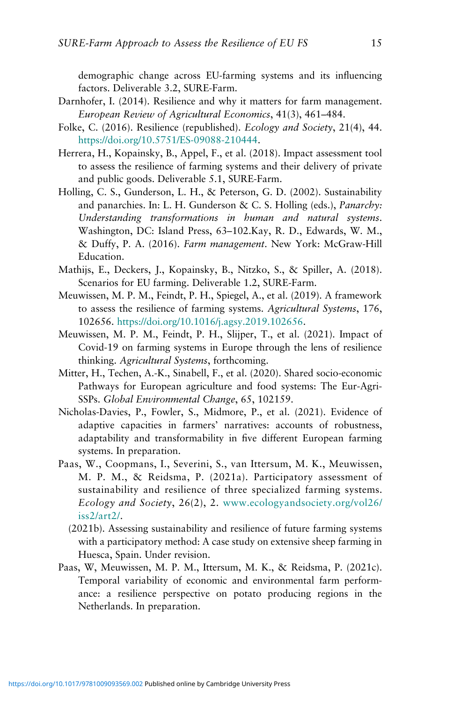demographic change across EU-farming systems and its influencing factors. Deliverable 3.2, SURE-Farm.

- Darnhofer, I. (2014). Resilience and why it matters for farm management. *European Review of Agricultural Economics*, 41(3), 461–484.
- Folke, C. (2016). Resilience (republished). *Ecology and Society*, 21(4), 44. [https://doi.org/10.5751/ES-09088-210444.](https://doi.org/10.5751/ES-09088-210444)
- Herrera, H., Kopainsky, B., Appel, F., et al. (2018). Impact assessment tool to assess the resilience of farming systems and their delivery of private and public goods. Deliverable 5.1, SURE-Farm.
- Holling, C. S., Gunderson, L. H., & Peterson, G. D. (2002). Sustainability and panarchies. In: L. H. Gunderson & C. S. Holling (eds.), *Panarchy: Understanding transformations in human and natural systems*. Washington, DC: Island Press, 63–102.Kay, R. D., Edwards, W. M., & Duffy, P. A. (2016). *Farm management*. New York: McGraw-Hill Education.
- Mathijs, E., Deckers, J., Kopainsky, B., Nitzko, S., & Spiller, A. (2018). Scenarios for EU farming. Deliverable 1.2, SURE-Farm.
- Meuwissen, M. P. M., Feindt, P. H., Spiegel, A., et al. (2019). A framework to assess the resilience of farming systems. *Agricultural Systems*, 176, 102656. [https://doi.org/10.1016/j.agsy.2019.102656.](https://doi.org/10.1016/j.agsy.2019.102656)
- Meuwissen, M. P. M., Feindt, P. H., Slijper, T., et al. (2021). Impact of Covid-19 on farming systems in Europe through the lens of resilience thinking. *Agricultural Systems*, forthcoming.
- Mitter, H., Techen, A.-K., Sinabell, F., et al. (2020). Shared socio-economic Pathways for European agriculture and food systems: The Eur-Agri-SSPs. *Global Environmental Change*, 65, 102159.
- Nicholas-Davies, P., Fowler, S., Midmore, P., et al. (2021). Evidence of adaptive capacities in farmers' narratives: accounts of robustness, adaptability and transformability in five different European farming systems. In preparation.
- Paas, W., Coopmans, I., Severini, S., van Ittersum, M. K., Meuwissen, M. P. M., & Reidsma, P. (2021a). Participatory assessment of sustainability and resilience of three specialized farming systems. *Ecology and Society*, 26(2), 2. [www.ecologyandsociety.org/vol26/](https://www.ecologyandsociety.org/vol26/iss2/art2/) [iss2/art2/.](https://www.ecologyandsociety.org/vol26/iss2/art2/)
	- (2021b). Assessing sustainability and resilience of future farming systems with a participatory method: A case study on extensive sheep farming in Huesca, Spain. Under revision.
- Paas, W, Meuwissen, M. P. M., Ittersum, M. K., & Reidsma, P. (2021c). Temporal variability of economic and environmental farm performance: a resilience perspective on potato producing regions in the Netherlands. In preparation.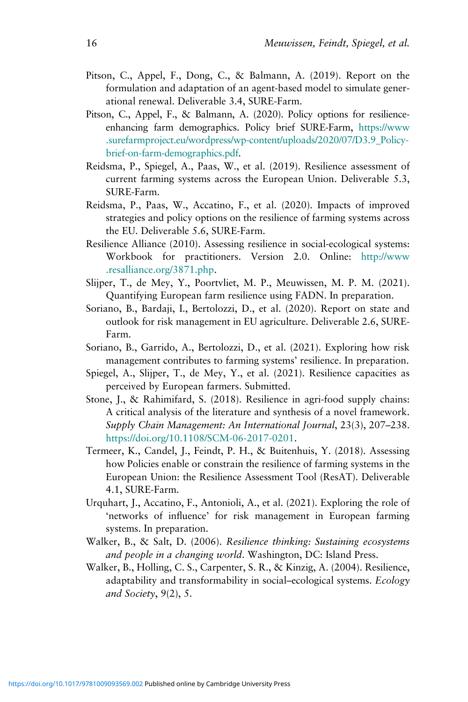- Pitson, C., Appel, F., Dong, C., & Balmann, A. (2019). Report on the formulation and adaptation of an agent-based model to simulate generational renewal. Deliverable 3.4, SURE-Farm.
- Pitson, C., Appel, F., & Balmann, A. (2020). Policy options for resilienceenhancing farm demographics. Policy brief SURE-Farm, [https://www](https://www.surefarmproject.eu/wordpress/wp-content/uploads/2020/07/D3.9_Policy-brief-on-farm-demographics.pdf) [.surefarmproject.eu/wordpress/wp-content/uploads/2020/07/D3.9\\_Policy](https://www.surefarmproject.eu/wordpress/wp-content/uploads/2020/07/D3.9_Policy-brief-on-farm-demographics.pdf)[brief-on-farm-demographics.pdf.](https://www.surefarmproject.eu/wordpress/wp-content/uploads/2020/07/D3.9_Policy-brief-on-farm-demographics.pdf)
- Reidsma, P., Spiegel, A., Paas, W., et al. (2019). Resilience assessment of current farming systems across the European Union. Deliverable 5.3, SURE-Farm.
- Reidsma, P., Paas, W., Accatino, F., et al. (2020). Impacts of improved strategies and policy options on the resilience of farming systems across the EU. Deliverable 5.6, SURE-Farm.
- Resilience Alliance (2010). Assessing resilience in social-ecological systems: Workbook for practitioners. Version 2.0. Online: [http://www](http://www.resalliance.org/3871.php) [.resalliance.org/3871.php.](http://www.resalliance.org/3871.php)
- Slijper, T., de Mey, Y., Poortvliet, M. P., Meuwissen, M. P. M. (2021). Quantifying European farm resilience using FADN. In preparation.
- Soriano, B., Bardaji, I., Bertolozzi, D., et al. (2020). Report on state and outlook for risk management in EU agriculture. Deliverable 2.6, SURE-Farm.
- Soriano, B., Garrido, A., Bertolozzi, D., et al. (2021). Exploring how risk management contributes to farming systems' resilience. In preparation.
- Spiegel, A., Slijper, T., de Mey, Y., et al. (2021). Resilience capacities as perceived by European farmers. Submitted.
- Stone, J., & Rahimifard, S. (2018). Resilience in agri-food supply chains: A critical analysis of the literature and synthesis of a novel framework. *Supply Chain Management: An International Journal*, 23(3), 207–238. [https://doi.org/10.1108/SCM-06-2017-0201.](https://doi.org/10.1108/SCM-06-2017-0201)
- Termeer, K., Candel, J., Feindt, P. H., & Buitenhuis, Y. (2018). Assessing how Policies enable or constrain the resilience of farming systems in the European Union: the Resilience Assessment Tool (ResAT). Deliverable 4.1, SURE-Farm.
- Urquhart, J., Accatino, F., Antonioli, A., et al. (2021). Exploring the role of 'networks of influence' for risk management in European farming systems. In preparation.
- Walker, B., & Salt, D. (2006). *Resilience thinking: Sustaining ecosystems and people in a changing world*. Washington, DC: Island Press.
- Walker, B., Holling, C. S., Carpenter, S. R., & Kinzig, A. (2004). Resilience, adaptability and transformability in social–ecological systems. *Ecology and Society*, 9(2), 5.